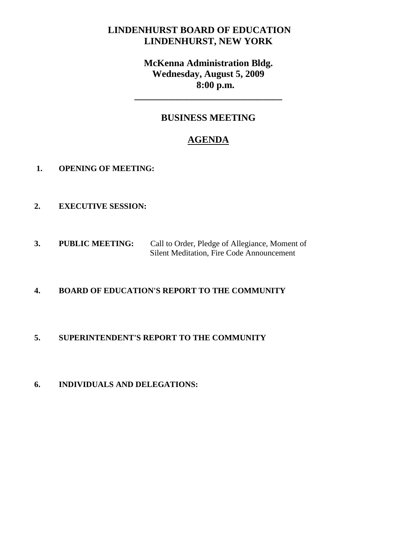## **LINDENHURST BOARD OF EDUCATION LINDENHURST, NEW YORK**

# **McKenna Administration Bldg. Wednesday, August 5, 2009 8:00 p.m.**

**\_\_\_\_\_\_\_\_\_\_\_\_\_\_\_\_\_\_\_\_\_\_\_\_\_\_\_\_\_\_\_**

## **BUSINESS MEETING**

# **AGENDA**

- **1. OPENING OF MEETING:**
- **2. EXECUTIVE SESSION:**
- **3. PUBLIC MEETING:** Call to Order, Pledge of Allegiance, Moment of Silent Meditation, Fire Code Announcement

### **4. BOARD OF EDUCATION'S REPORT TO THE COMMUNITY**

### **5. SUPERINTENDENT'S REPORT TO THE COMMUNITY**

**6. INDIVIDUALS AND DELEGATIONS:**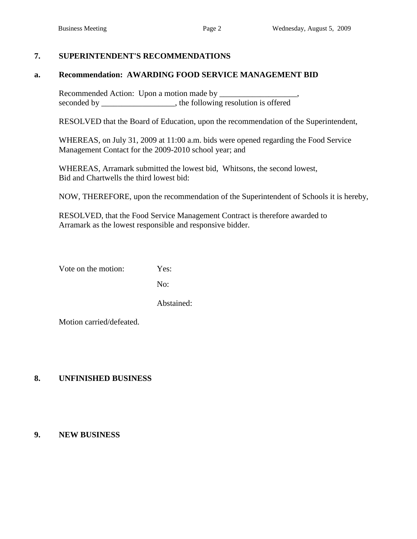#### **7. SUPERINTENDENT'S RECOMMENDATIONS**

#### **a. Recommendation: AWARDING FOOD SERVICE MANAGEMENT BID**

Recommended Action: Upon a motion made by \_\_\_\_\_\_\_\_\_\_\_\_\_\_\_\_\_\_\_, seconded by \_\_\_\_\_\_\_\_\_\_\_\_\_\_\_, the following resolution is offered

RESOLVED that the Board of Education, upon the recommendation of the Superintendent,

WHEREAS, on July 31, 2009 at 11:00 a.m. bids were opened regarding the Food Service Management Contact for the 2009-2010 school year; and

WHEREAS, Arramark submitted the lowest bid, Whitsons, the second lowest, Bid and Chartwells the third lowest bid:

NOW, THEREFORE, upon the recommendation of the Superintendent of Schools it is hereby,

RESOLVED, that the Food Service Management Contract is therefore awarded to Arramark as the lowest responsible and responsive bidder.

Vote on the motion: Yes:

No:

Abstained:

Motion carried/defeated.

#### **8. UNFINISHED BUSINESS**

#### **9. NEW BUSINESS**